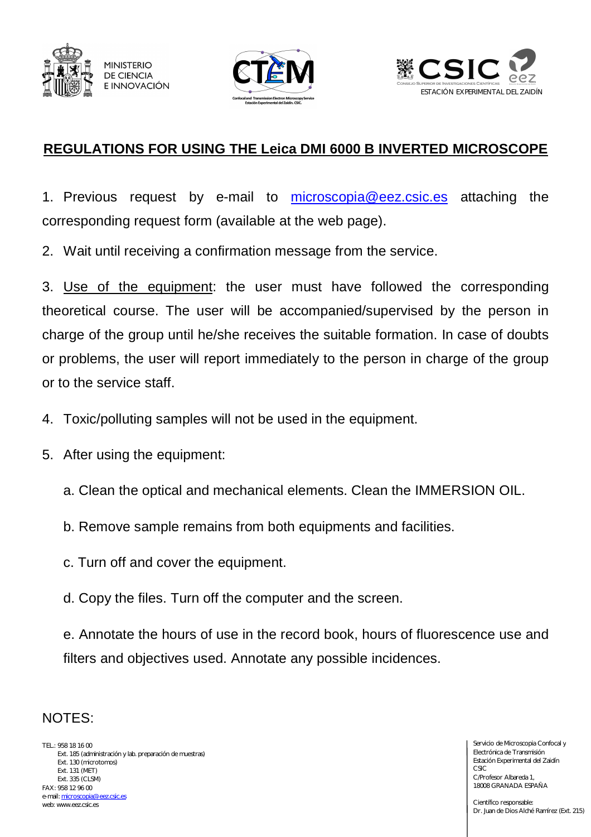





## **REGULATIONS FOR USING THE Leica DMI 6000 B INVERTED MICROSCOPE**

1. Previous request by e-mail to microscopia@eez.csic.es attaching the corresponding request form (available at the web page).

2. Wait until receiving a confirmation message from the service.

3. Use of the equipment: the user must have followed the corresponding theoretical course. The user will be accompanied/supervised by the person in charge of the group until he/she receives the suitable formation. In case of doubts or problems, the user will report immediately to the person in charge of the group or to the service staff.

- 4. Toxic/polluting samples will not be used in the equipment.
- 5. After using the equipment:
	- a. Clean the optical and mechanical elements. Clean the IMMERSION OIL.
	- b. Remove sample remains from both equipments and facilities.
	- c. Turn off and cover the equipment.
	- d. Copy the files. Turn off the computer and the screen.

e. Annotate the hours of use in the record book, hours of fluorescence use and filters and objectives used. Annotate any possible incidences.

## NOTES:

TEL.: 958 18 16 00 Ext. 185 (administración y lab. preparación de muestras) Ext. 130 (microtomos) Ext. 131 (MET) Ext. 335 (CLSM) FAX: 958 12 96 00 e-mail: microscopia@eez.csic.es web: www.eez.csic.es